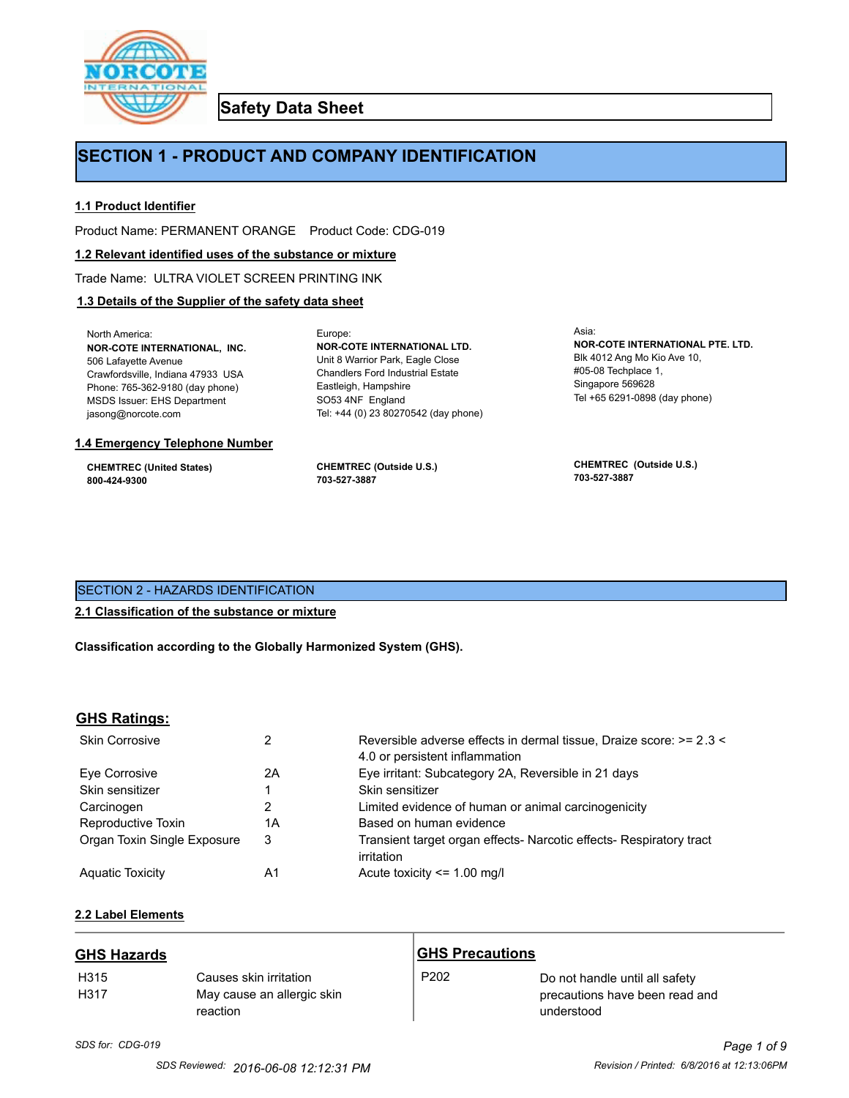

**Safety Data Sheet**

## **SECTION 1 - PRODUCT AND COMPANY IDENTIFICATION**

Europe:

## **1.1 Product Identifier**

Product Name: PERMANENT ORANGE Product Code: CDG-019

#### **1.2 Relevant identified uses of the substance or mixture**

Trade Name: ULTRA VIOLET SCREEN PRINTING INK

## **1.3 Details of the Supplier of the safety data sheet**

North America: **NOR-COTE INTERNATIONAL, INC.** 506 Lafayette Avenue Crawfordsville, Indiana 47933 USA Phone: 765-362-9180 (day phone) MSDS Issuer: EHS Department jasong@norcote.com

#### **1.4 Emergency Telephone Number**

**CHEMTREC (United States) 800-424-9300**

**CHEMTREC (Outside U.S.) 703-527-3887**

Eastleigh, Hampshire SO53 4NF England

**NOR-COTE INTERNATIONAL LTD.** Unit 8 Warrior Park, Eagle Close Chandlers Ford Industrial Estate

Tel: +44 (0) 23 80270542 (day phone)

Asia: **NOR-COTE INTERNATIONAL PTE. LTD.** Blk 4012 Ang Mo Kio Ave 10, #05-08 Techplace 1, Singapore 569628 Tel +65 6291-0898 (day phone)

**CHEMTREC (Outside U.S.) 703-527-3887**

## SECTION 2 - HAZARDS IDENTIFICATION

## **2.1 Classification of the substance or mixture**

**Classification according to the Globally Harmonized System (GHS).**

## **GHS Ratings:**

| <b>Skin Corrosive</b>       | 2  | Reversible adverse effects in dermal tissue, Draize score: >= 2.3 < |
|-----------------------------|----|---------------------------------------------------------------------|
|                             |    | 4.0 or persistent inflammation                                      |
| Eve Corrosive               | 2A | Eye irritant: Subcategory 2A, Reversible in 21 days                 |
| Skin sensitizer             |    | Skin sensitizer                                                     |
| Carcinogen                  | 2  | Limited evidence of human or animal carcinogenicity                 |
| Reproductive Toxin          | 1Α | Based on human evidence                                             |
| Organ Toxin Single Exposure | 3  | Transient target organ effects- Narcotic effects- Respiratory tract |
|                             |    | irritation                                                          |
| <b>Aguatic Toxicity</b>     | A1 | Acute toxicity $\leq$ 1.00 mg/l                                     |

## **2.2 Label Elements**

| <b>GHS Hazards</b>       |                                                                  | <b>GHS Precautions</b> |                                                                                |
|--------------------------|------------------------------------------------------------------|------------------------|--------------------------------------------------------------------------------|
| H <sub>315</sub><br>H317 | Causes skin irritation<br>May cause an allergic skin<br>reaction | P <sub>202</sub>       | Do not handle until all safety<br>precautions have been read and<br>understood |

# *SDS for: CDG-019 Page 1 of 9*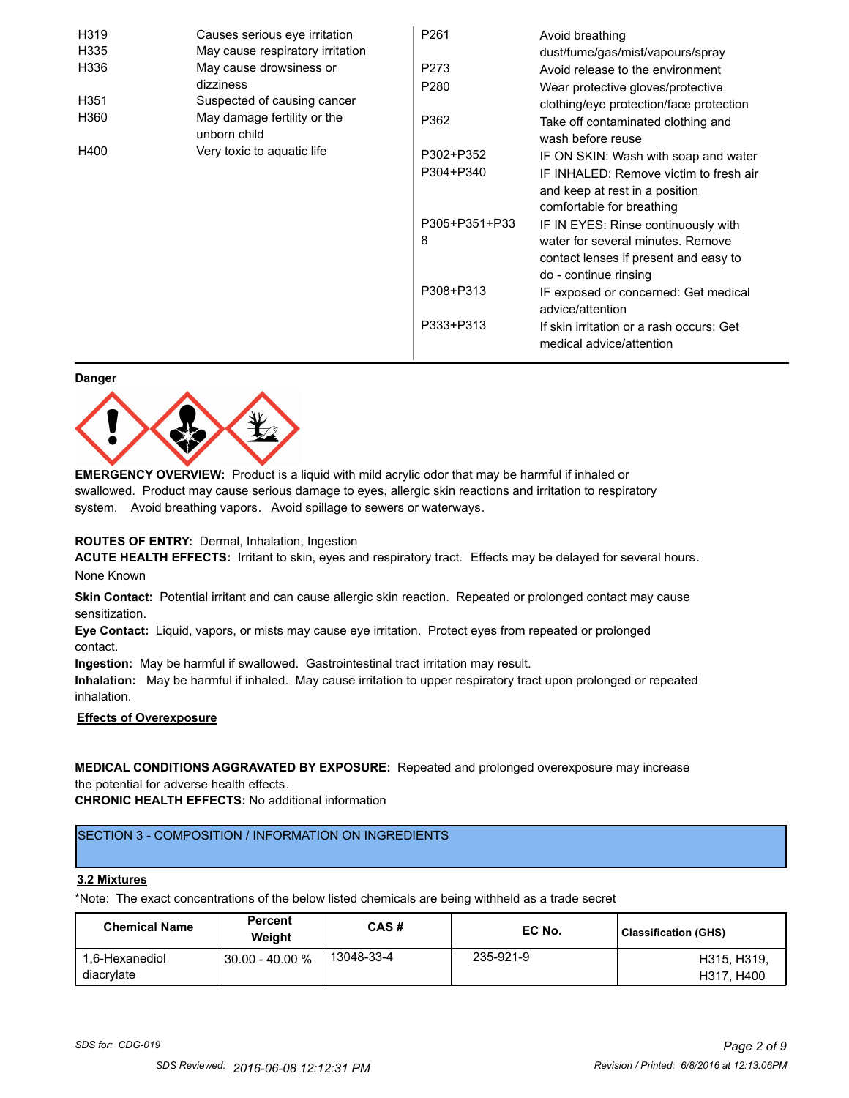| H319                                                | Causes serious eye irritation    | P261             | Avoid breathing                                                      |
|-----------------------------------------------------|----------------------------------|------------------|----------------------------------------------------------------------|
| H335                                                | May cause respiratory irritation |                  | dust/fume/gas/mist/vapours/spray                                     |
| H336                                                | May cause drowsiness or          | P273             | Avoid release to the environment                                     |
|                                                     | dizziness                        | P <sub>280</sub> | Wear protective gloves/protective                                    |
| H351                                                | Suspected of causing cancer      |                  | clothing/eye protection/face protection                              |
| H360<br>May damage fertility or the<br>unborn child |                                  | P362             | Take off contaminated clothing and<br>wash before reuse              |
| H400                                                | Very toxic to aquatic life       | P302+P352        | IF ON SKIN: Wash with soap and water                                 |
|                                                     |                                  | P304+P340        | IF INHALED: Remove victim to fresh air                               |
|                                                     |                                  |                  | and keep at rest in a position                                       |
|                                                     |                                  |                  | comfortable for breathing                                            |
|                                                     |                                  | P305+P351+P33    | IF IN EYES: Rinse continuously with                                  |
|                                                     |                                  | 8                | water for several minutes. Remove                                    |
|                                                     |                                  |                  | contact lenses if present and easy to                                |
|                                                     |                                  |                  | do - continue rinsing                                                |
|                                                     |                                  | P308+P313        | IF exposed or concerned: Get medical<br>advice/attention             |
|                                                     |                                  | P333+P313        | If skin irritation or a rash occurs: Get<br>medical advice/attention |

#### **Danger**



**EMERGENCY OVERVIEW:** Product is a liquid with mild acrylic odor that may be harmful if inhaled or swallowed. Product may cause serious damage to eyes, allergic skin reactions and irritation to respiratory system. Avoid breathing vapors. Avoid spillage to sewers or waterways.

#### **ROUTES OF ENTRY:** Dermal, Inhalation, Ingestion

**ACUTE HEALTH EFFECTS:** Irritant to skin, eyes and respiratory tract. Effects may be delayed for several hours. None Known

**Skin Contact:** Potential irritant and can cause allergic skin reaction. Repeated or prolonged contact may cause sensitization.

**Eye Contact:** Liquid, vapors, or mists may cause eye irritation. Protect eyes from repeated or prolonged contact.

**Ingestion:** May be harmful if swallowed. Gastrointestinal tract irritation may result.

**Inhalation:** May be harmful if inhaled. May cause irritation to upper respiratory tract upon prolonged or repeated inhalation.

## **Effects of Overexposure**

## **MEDICAL CONDITIONS AGGRAVATED BY EXPOSURE:** Repeated and prolonged overexposure may increase the potential for adverse health effects.

**CHRONIC HEALTH EFFECTS:** No additional information

## SECTION 3 - COMPOSITION / INFORMATION ON INGREDIENTS

#### **3.2 Mixtures**

\*Note: The exact concentrations of the below listed chemicals are being withheld as a trade secret

| <b>Chemical Name</b>         | <b>Percent</b><br>Weiaht | CAS#       | EC No.    | Classification (GHS)      |
|------------------------------|--------------------------|------------|-----------|---------------------------|
| 1.6-Hexanediol<br>diacrylate | $130.00 - 40.00 %$       | 13048-33-4 | 235-921-9 | H315, H319.<br>H317, H400 |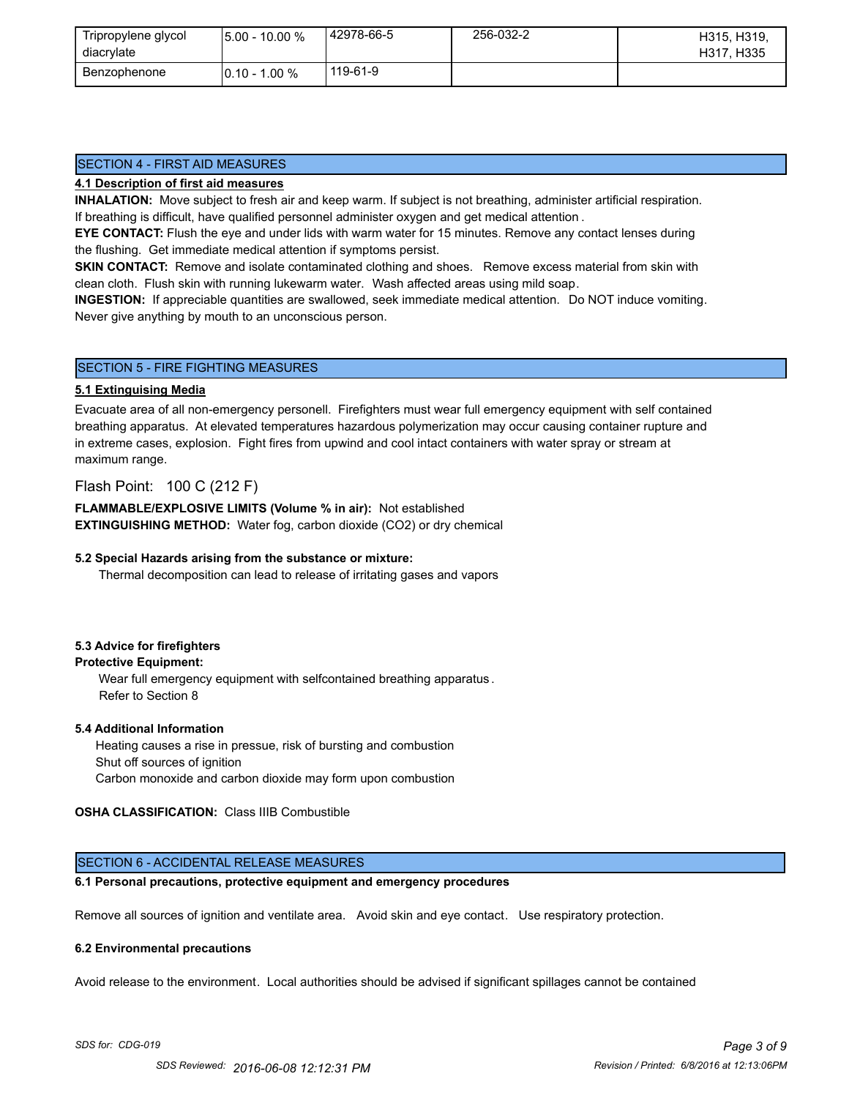| Tripropylene glycol<br>diacrylate | $15.00 - 10.00 %$ | 42978-66-5 | 256-032-2 | H315, H319,<br>H317, H335 |
|-----------------------------------|-------------------|------------|-----------|---------------------------|
| Benzophenone                      | $10.10 - 1.00 \%$ | 119-61-9   |           |                           |

## SECTION 4 - FIRST AID MEASURES

#### **4.1 Description of first aid measures**

**INHALATION:** Move subject to fresh air and keep warm. If subject is not breathing, administer artificial respiration. If breathing is difficult, have qualified personnel administer oxygen and get medical attention .

**EYE CONTACT:** Flush the eye and under lids with warm water for 15 minutes. Remove any contact lenses during the flushing. Get immediate medical attention if symptoms persist.

**SKIN CONTACT:** Remove and isolate contaminated clothing and shoes. Remove excess material from skin with clean cloth. Flush skin with running lukewarm water. Wash affected areas using mild soap.

**INGESTION:** If appreciable quantities are swallowed, seek immediate medical attention. Do NOT induce vomiting. Never give anything by mouth to an unconscious person.

#### SECTION 5 - FIRE FIGHTING MEASURES

#### **5.1 Extinguising Media**

Evacuate area of all non-emergency personell. Firefighters must wear full emergency equipment with self contained breathing apparatus. At elevated temperatures hazardous polymerization may occur causing container rupture and in extreme cases, explosion. Fight fires from upwind and cool intact containers with water spray or stream at maximum range.

## Flash Point: 100 C (212 F)

**FLAMMABLE/EXPLOSIVE LIMITS (Volume % in air):** Not established **EXTINGUISHING METHOD:** Water fog, carbon dioxide (CO2) or dry chemical

#### **5.2 Special Hazards arising from the substance or mixture:**

Thermal decomposition can lead to release of irritating gases and vapors

#### **5.3 Advice for firefighters**

## **Protective Equipment:**

Wear full emergency equipment with selfcontained breathing apparatus . Refer to Section 8

#### **5.4 Additional Information**

 Heating causes a rise in pressue, risk of bursting and combustion Shut off sources of ignition Carbon monoxide and carbon dioxide may form upon combustion

#### **OSHA CLASSIFICATION:** Class IIIB Combustible

#### SECTION 6 - ACCIDENTAL RELEASE MEASURES

## **6.1 Personal precautions, protective equipment and emergency procedures**

Remove all sources of ignition and ventilate area. Avoid skin and eye contact. Use respiratory protection.

#### **6.2 Environmental precautions**

Avoid release to the environment. Local authorities should be advised if significant spillages cannot be contained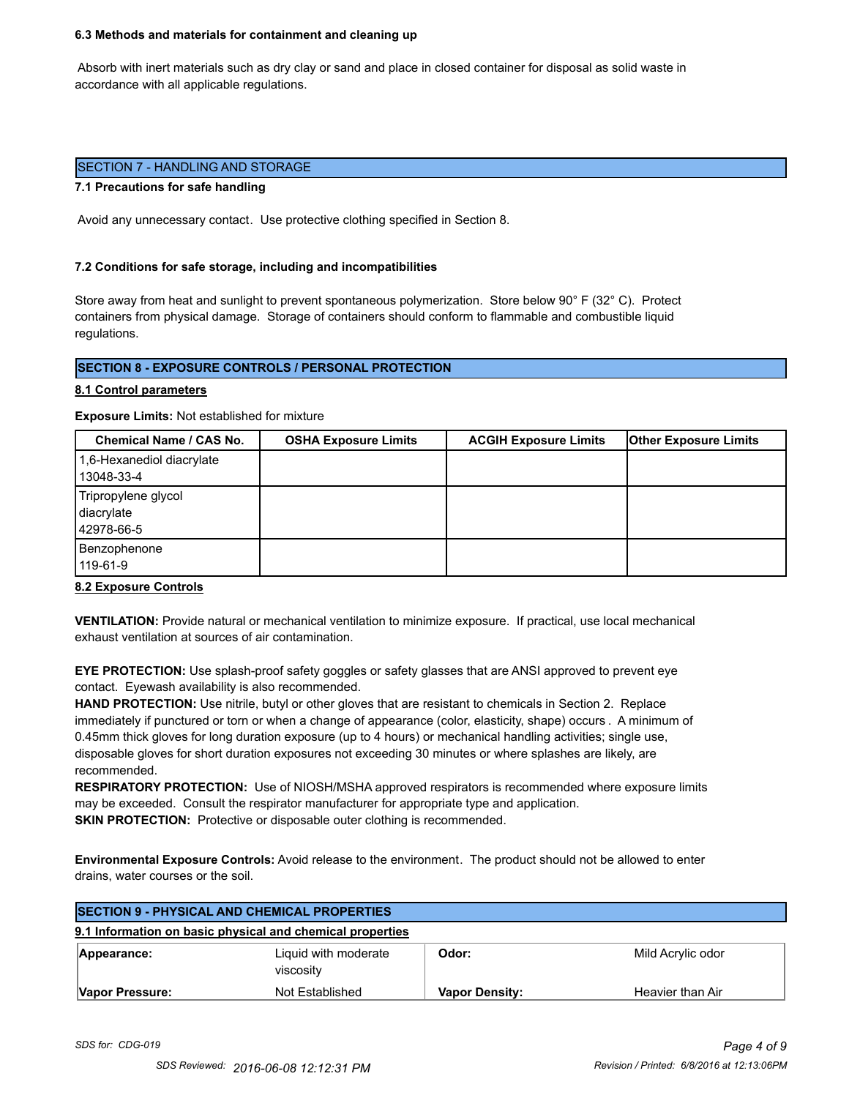#### **6.3 Methods and materials for containment and cleaning up**

 Absorb with inert materials such as dry clay or sand and place in closed container for disposal as solid waste in accordance with all applicable regulations.

#### SECTION 7 - HANDLING AND STORAGE

#### **7.1 Precautions for safe handling**

Avoid any unnecessary contact. Use protective clothing specified in Section 8.

#### **7.2 Conditions for safe storage, including and incompatibilities**

Store away from heat and sunlight to prevent spontaneous polymerization. Store below 90° F (32° C). Protect containers from physical damage. Storage of containers should conform to flammable and combustible liquid regulations.

## **SECTION 8 - EXPOSURE CONTROLS / PERSONAL PROTECTION**

#### **8.1 Control parameters**

**Exposure Limits:** Not established for mixture

| Chemical Name / CAS No.                         | <b>OSHA Exposure Limits</b> | <b>ACGIH Exposure Limits</b> | <b>Other Exposure Limits</b> |
|-------------------------------------------------|-----------------------------|------------------------------|------------------------------|
| 1,6-Hexanediol diacrylate<br>13048-33-4         |                             |                              |                              |
| Tripropylene glycol<br>diacrylate<br>42978-66-5 |                             |                              |                              |
| Benzophenone<br>119-61-9                        |                             |                              |                              |

#### **8.2 Exposure Controls**

**VENTILATION:** Provide natural or mechanical ventilation to minimize exposure. If practical, use local mechanical exhaust ventilation at sources of air contamination.

**EYE PROTECTION:** Use splash-proof safety goggles or safety glasses that are ANSI approved to prevent eye contact. Eyewash availability is also recommended.

**HAND PROTECTION:** Use nitrile, butyl or other gloves that are resistant to chemicals in Section 2. Replace immediately if punctured or torn or when a change of appearance (color, elasticity, shape) occurs . A minimum of 0.45mm thick gloves for long duration exposure (up to 4 hours) or mechanical handling activities; single use, disposable gloves for short duration exposures not exceeding 30 minutes or where splashes are likely, are recommended.

**RESPIRATORY PROTECTION:** Use of NIOSH/MSHA approved respirators is recommended where exposure limits may be exceeded. Consult the respirator manufacturer for appropriate type and application. **SKIN PROTECTION:** Protective or disposable outer clothing is recommended.

**Environmental Exposure Controls:** Avoid release to the environment. The product should not be allowed to enter drains, water courses or the soil.

| <b>SECTION 9 - PHYSICAL AND CHEMICAL PROPERTIES</b>       |                                   |                       |                   |  |
|-----------------------------------------------------------|-----------------------------------|-----------------------|-------------------|--|
| 9.1 Information on basic physical and chemical properties |                                   |                       |                   |  |
| Appearance:                                               | Liquid with moderate<br>viscosity | Odor:                 | Mild Acrylic odor |  |
| Vapor Pressure:                                           | Not Established                   | <b>Vapor Density:</b> | Heavier than Air  |  |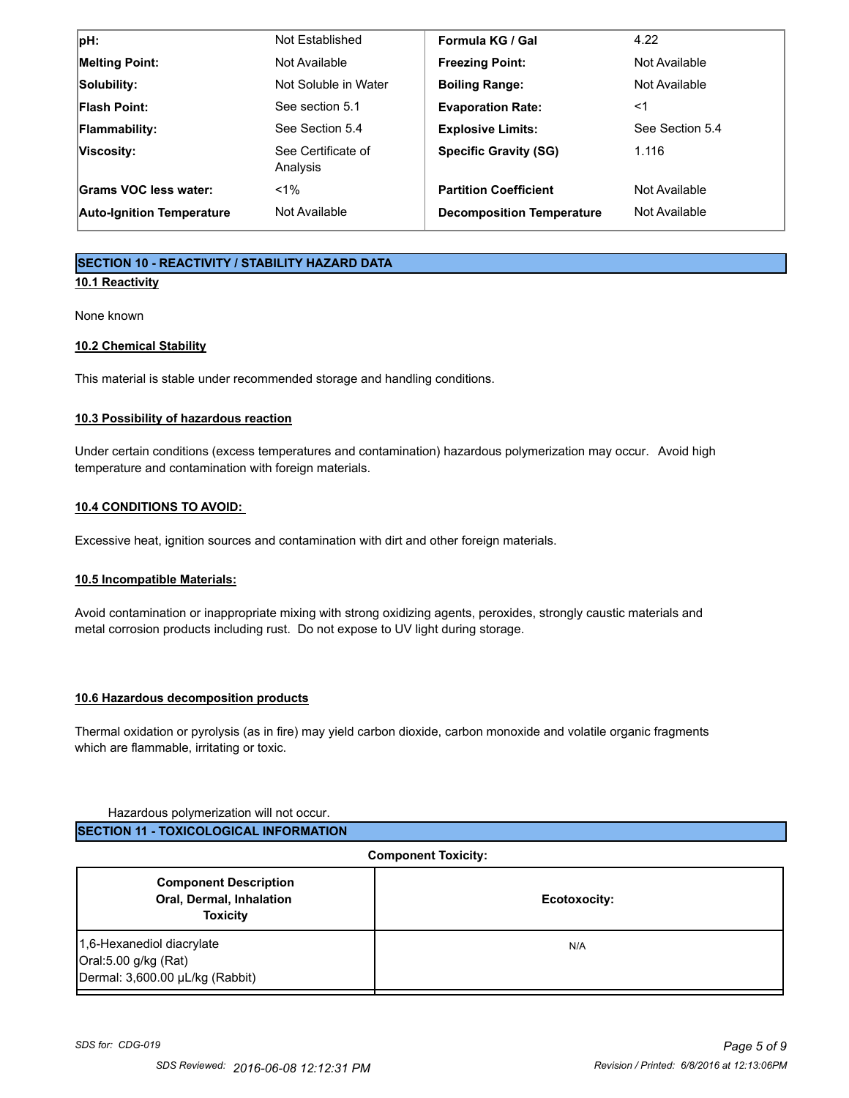| pH:                              | Not Established                | Formula KG / Gal                 | 4.22            |
|----------------------------------|--------------------------------|----------------------------------|-----------------|
| <b>Melting Point:</b>            | Not Available                  | <b>Freezing Point:</b>           | Not Available   |
| Solubility:                      | Not Soluble in Water           | <b>Boiling Range:</b>            | Not Available   |
| <b>Flash Point:</b>              | See section 5.1                | <b>Evaporation Rate:</b>         | <1              |
| Flammability:                    | See Section 5.4                | <b>Explosive Limits:</b>         | See Section 5.4 |
| Viscosity:                       | See Certificate of<br>Analysis | <b>Specific Gravity (SG)</b>     | 1.116           |
| Grams VOC less water:            | $< 1\%$                        | <b>Partition Coefficient</b>     | Not Available   |
| <b>Auto-Ignition Temperature</b> | Not Available                  | <b>Decomposition Temperature</b> | Not Available   |

## **SECTION 10 - REACTIVITY / STABILITY HAZARD DATA**

## **10.1 Reactivity**

None known

## **10.2 Chemical Stability**

This material is stable under recommended storage and handling conditions.

## **10.3 Possibility of hazardous reaction**

Under certain conditions (excess temperatures and contamination) hazardous polymerization may occur. Avoid high temperature and contamination with foreign materials.

## **10.4 CONDITIONS TO AVOID:**

Excessive heat, ignition sources and contamination with dirt and other foreign materials.

## **10.5 Incompatible Materials:**

Avoid contamination or inappropriate mixing with strong oxidizing agents, peroxides, strongly caustic materials and metal corrosion products including rust. Do not expose to UV light during storage.

#### **10.6 Hazardous decomposition products**

Thermal oxidation or pyrolysis (as in fire) may yield carbon dioxide, carbon monoxide and volatile organic fragments which are flammable, irritating or toxic.

#### Hazardous polymerization will not occur.

| <b>ISECTION 11 - TOXICOLOGICAL INFORMATION</b> |
|------------------------------------------------|
|                                                |

| <b>Component Toxicity:</b>                                                           |              |  |
|--------------------------------------------------------------------------------------|--------------|--|
| <b>Component Description</b><br><b>Oral, Dermal, Inhalation</b><br><b>Toxicity</b>   | Ecotoxocity: |  |
| 1,6-Hexanediol diacrylate<br>Oral:5.00 g/kg (Rat)<br>Dermal: 3,600.00 µL/kg (Rabbit) | N/A          |  |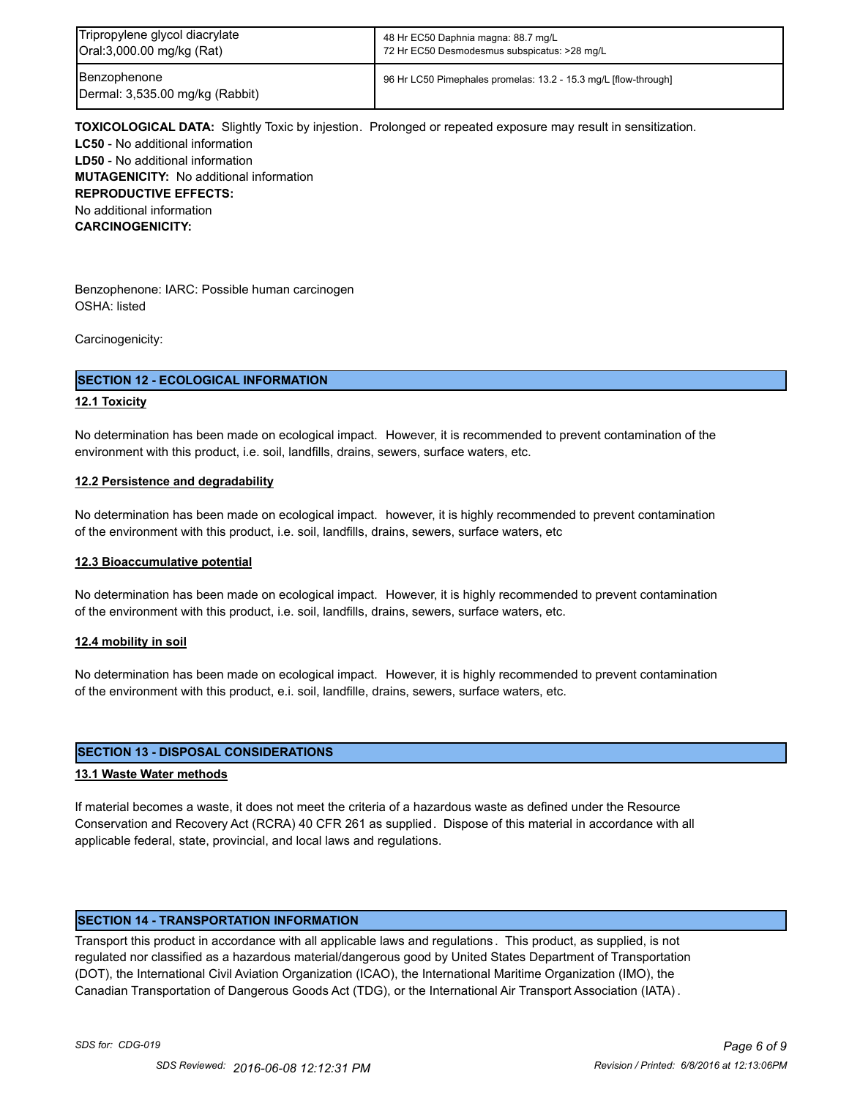| Tripropylene glycol diacrylate                  | 48 Hr EC50 Daphnia magna: 88.7 mg/L                             |
|-------------------------------------------------|-----------------------------------------------------------------|
| Oral:3,000.00 mg/kg (Rat)                       | 72 Hr EC50 Desmodesmus subspicatus: >28 mg/L                    |
| Benzophenone<br>Dermal: 3,535.00 mg/kg (Rabbit) | 96 Hr LC50 Pimephales promelas: 13.2 - 15.3 mg/L [flow-through] |

**TOXICOLOGICAL DATA:** Slightly Toxic by injestion. Prolonged or repeated exposure may result in sensitization. **LC50** - No additional information **LD50** - No additional information **MUTAGENICITY:** No additional information **REPRODUCTIVE EFFECTS:** No additional information **CARCINOGENICITY:**

Benzophenone: IARC: Possible human carcinogen OSHA: listed

Carcinogenicity:

#### **SECTION 12 - ECOLOGICAL INFORMATION**

#### **12.1 Toxicity**

No determination has been made on ecological impact. However, it is recommended to prevent contamination of the environment with this product, i.e. soil, landfills, drains, sewers, surface waters, etc.

#### **12.2 Persistence and degradability**

No determination has been made on ecological impact. however, it is highly recommended to prevent contamination of the environment with this product, i.e. soil, landfills, drains, sewers, surface waters, etc

#### **12.3 Bioaccumulative potential**

No determination has been made on ecological impact. However, it is highly recommended to prevent contamination of the environment with this product, i.e. soil, landfills, drains, sewers, surface waters, etc.

#### **12.4 mobility in soil**

No determination has been made on ecological impact. However, it is highly recommended to prevent contamination of the environment with this product, e.i. soil, landfille, drains, sewers, surface waters, etc.

#### **SECTION 13 - DISPOSAL CONSIDERATIONS**

#### **13.1 Waste Water methods**

If material becomes a waste, it does not meet the criteria of a hazardous waste as defined under the Resource Conservation and Recovery Act (RCRA) 40 CFR 261 as supplied. Dispose of this material in accordance with all applicable federal, state, provincial, and local laws and regulations.

#### **SECTION 14 - TRANSPORTATION INFORMATION**

Transport this product in accordance with all applicable laws and regulations . This product, as supplied, is not regulated nor classified as a hazardous material/dangerous good by United States Department of Transportation (DOT), the International Civil Aviation Organization (ICAO), the International Maritime Organization (IMO), the Canadian Transportation of Dangerous Goods Act (TDG), or the International Air Transport Association (IATA) .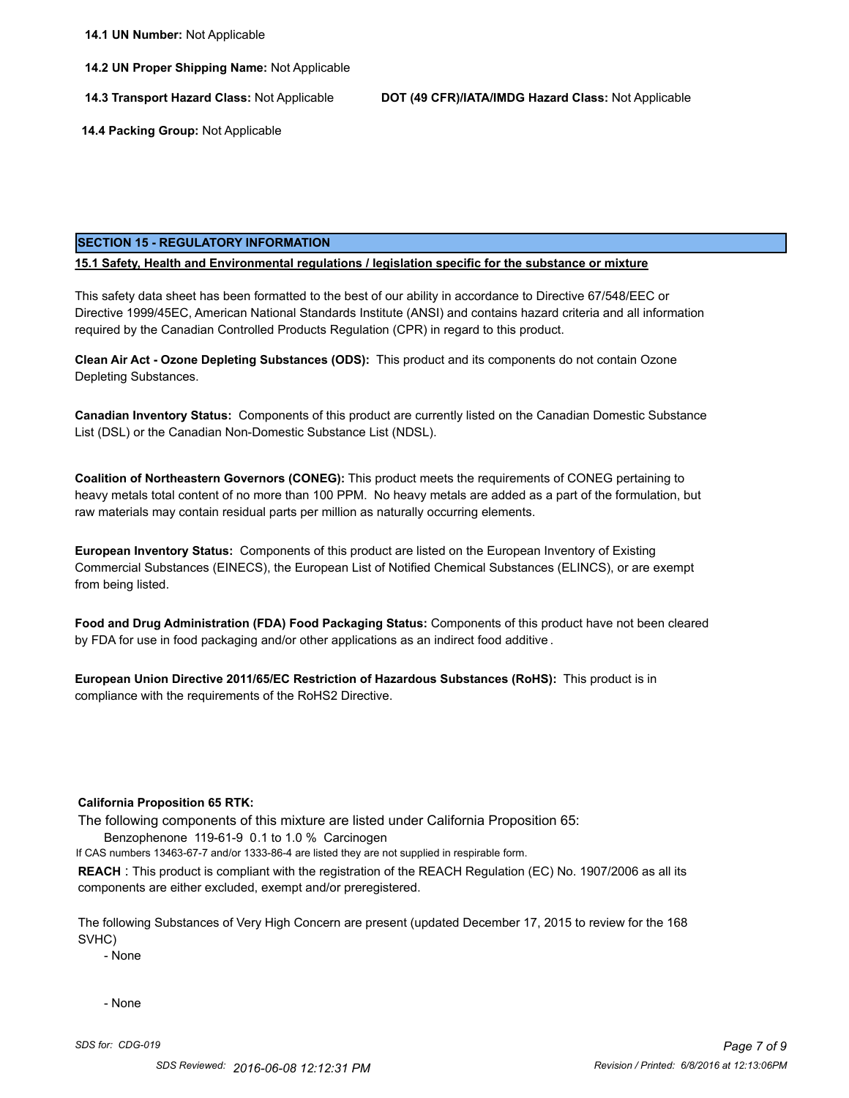**14.2 UN Proper Shipping Name:** Not Applicable

**14.3 Transport Hazard Class:** Not Applicable **DOT (49 CFR)/IATA/IMDG Hazard Class:** Not Applicable

 **14.4 Packing Group:** Not Applicable

#### **SECTION 15 - REGULATORY INFORMATION**

#### **15.1 Safety, Health and Environmental regulations / legislation specific for the substance or mixture**

This safety data sheet has been formatted to the best of our ability in accordance to Directive 67/548/EEC or Directive 1999/45EC, American National Standards Institute (ANSI) and contains hazard criteria and all information required by the Canadian Controlled Products Regulation (CPR) in regard to this product.

**Clean Air Act - Ozone Depleting Substances (ODS):** This product and its components do not contain Ozone Depleting Substances.

**Canadian Inventory Status:** Components of this product are currently listed on the Canadian Domestic Substance List (DSL) or the Canadian Non-Domestic Substance List (NDSL).

**Coalition of Northeastern Governors (CONEG):** This product meets the requirements of CONEG pertaining to heavy metals total content of no more than 100 PPM. No heavy metals are added as a part of the formulation, but raw materials may contain residual parts per million as naturally occurring elements.

**European Inventory Status:** Components of this product are listed on the European Inventory of Existing Commercial Substances (EINECS), the European List of Notified Chemical Substances (ELINCS), or are exempt from being listed.

**Food and Drug Administration (FDA) Food Packaging Status:** Components of this product have not been cleared by FDA for use in food packaging and/or other applications as an indirect food additive .

**European Union Directive 2011/65/EC Restriction of Hazardous Substances (RoHS):** This product is in compliance with the requirements of the RoHS2 Directive.

#### **California Proposition 65 RTK:**

The following components of this mixture are listed under California Proposition 65:

Benzophenone 119-61-9 0.1 to 1.0 % Carcinogen

If CAS numbers 13463-67-7 and/or 1333-86-4 are listed they are not supplied in respirable form.

**REACH** : This product is compliant with the registration of the REACH Regulation (EC) No. 1907/2006 as all its components are either excluded, exempt and/or preregistered.

The following Substances of Very High Concern are present (updated December 17, 2015 to review for the 168 SVHC)

- None

- None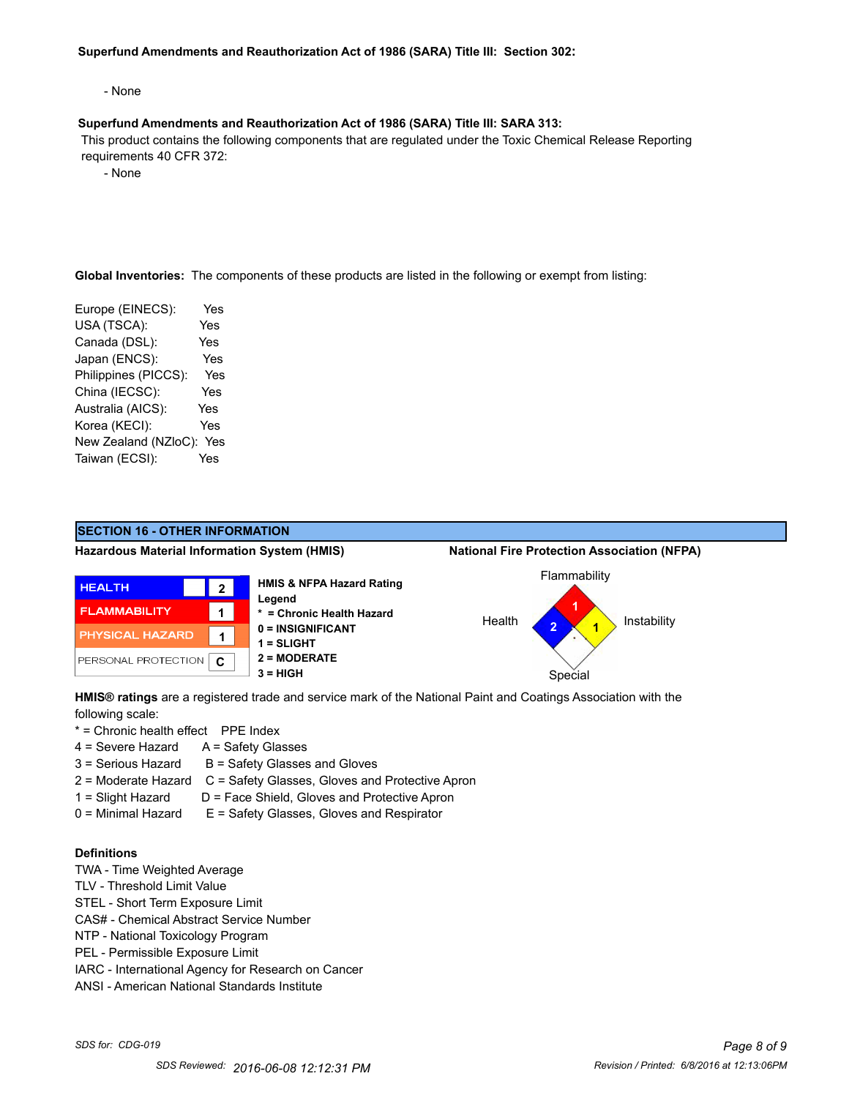#### **Superfund Amendments and Reauthorization Act of 1986 (SARA) Title III: Section 302:**

- None

#### **Superfund Amendments and Reauthorization Act of 1986 (SARA) Title III: SARA 313:**

 This product contains the following components that are regulated under the Toxic Chemical Release Reporting requirements 40 CFR 372:

- None

**Global Inventories:** The components of these products are listed in the following or exempt from listing:

| Europe (EINECS):     | Yes        |
|----------------------|------------|
| USA (TSCA):          | Yes        |
| Canada (DSL):        | Yes        |
| Japan (ENCS):        | Yes        |
| Philippines (PICCS): | Yes        |
| China (IECSC):       | Yes        |
| Australia (AICS):    | <b>Yes</b> |
| Korea (KECI):        | Yes        |
| New Zealand (NZloC): | Yes        |
| Taiwan (ECSI):       | Yes        |
|                      |            |



**HMIS® ratings** are a registered trade and service mark of the National Paint and Coatings Association with the following scale:

- \* = Chronic health effect PPE Index
- $4 =$  Severe Hazard  $A =$  Safety Glasses
- $3 =$  Serious Hazard  $B =$  Safety Glasses and Gloves
- 2 = Moderate Hazard C = Safety Glasses, Gloves and Protective Apron
- 1 = Slight Hazard D = Face Shield, Gloves and Protective Apron
- 0 = Minimal Hazard E = Safety Glasses, Gloves and Respirator

## **Definitions**

- TWA Time Weighted Average
- TLV Threshold Limit Value
- STEL Short Term Exposure Limit
- CAS# Chemical Abstract Service Number
- NTP National Toxicology Program
- PEL Permissible Exposure Limit
- IARC International Agency for Research on Cancer
- ANSI American National Standards Institute